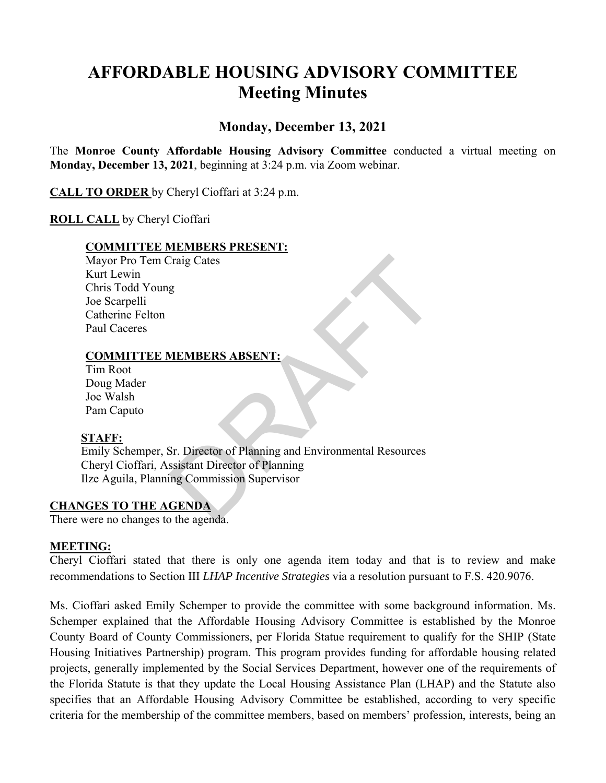# **AFFORDABLE HOUSING ADVISORY COMMITTEE Meeting Minutes**

## **Monday, December 13, 2021**

The **Monroe County Affordable Housing Advisory Committee** conducted a virtual meeting on **Monday, December 13, 2021**, beginning at 3:24 p.m. via Zoom webinar.

**CALL TO ORDER** by Cheryl Cioffari at 3:24 p.m.

### **ROLL CALL** by Cheryl Cioffari

#### **COMMITTEE MEMBERS PRESENT:**

Mayor Pro Tem Craig Cates Kurt Lewin Chris Todd Young Joe Scarpelli Catherine Felton Paul Caceres

#### **COMMITTEE MEMBERS ABSENT:**

Tim Root Doug Mader Joe Walsh Pam Caputo

#### **STAFF:**

Craig Cates<br>
g<br>
MEMBERS ABSENT:<br>
Sr. Director of Planning and Environmental Resources<br>
ssistant Director of Planning<br>
ing Commission Supervisor<br>
CENDA<br>
the agenda. Emily Schemper, Sr. Director of Planning and Environmental Resources Cheryl Cioffari, Assistant Director of Planning Ilze Aguila, Planning Commission Supervisor

#### **CHANGES TO THE AGENDA**

There were no changes to the agenda.

#### **MEETING:**

Cheryl Cioffari stated that there is only one agenda item today and that is to review and make recommendations to Section III *LHAP Incentive Strategies* via a resolution pursuant to F.S. 420.9076.

Ms. Cioffari asked Emily Schemper to provide the committee with some background information. Ms. Schemper explained that the Affordable Housing Advisory Committee is established by the Monroe County Board of County Commissioners, per Florida Statue requirement to qualify for the SHIP (State Housing Initiatives Partnership) program. This program provides funding for affordable housing related projects, generally implemented by the Social Services Department, however one of the requirements of the Florida Statute is that they update the Local Housing Assistance Plan (LHAP) and the Statute also specifies that an Affordable Housing Advisory Committee be established, according to very specific criteria for the membership of the committee members, based on members' profession, interests, being an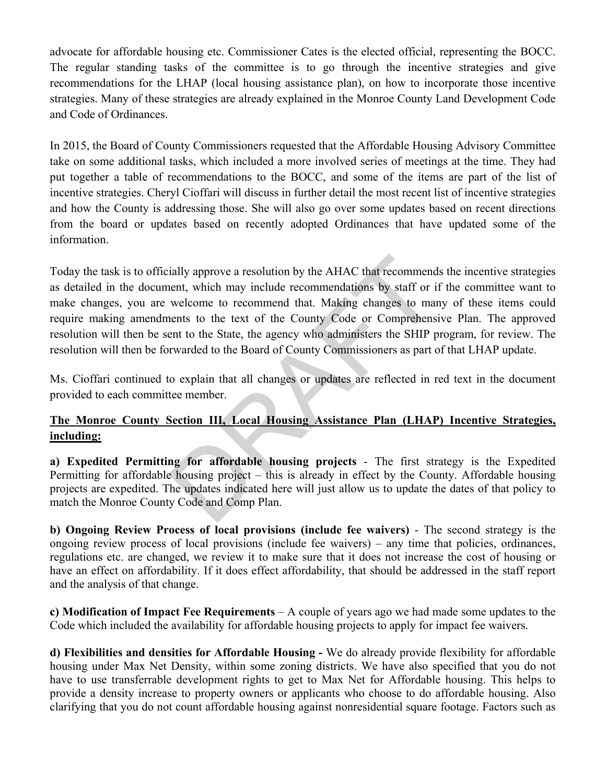advocate for affordable housing etc. Commissioner Cates is the elected official, representing the BOCC. The regular standing tasks of the committee is to go through the incentive strategies and give recommendations for the LHAP (local housing assistance plan), on how to incorporate those incentive strategies. Many of these strategies are already explained in the Monroe County Land Development Code and Code of Ordinances.

In 2015, the Board of County Commissioners requested that the Affordable Housing Advisory Committee take on some additional tasks, which included a more involved series of meetings at the time. They had put together a table of recommendations to the BOCC, and some of the items are part of the list of incentive strategies. Cheryl Cioffari will discuss in further detail the most recent list of incentive strategies and how the County is addressing those. She will also go over some updates based on recent directions from the board or updates based on recently adopted Ordinances that have updated some of the information.

ially approve a resolution by the AHAC that recommend<br>enert, which may include recommendations by staff or i<br>welcome to recommend that. Making changes to man<br>enerts to the text of the County Code or Comprehens<br>ent to the S Today the task is to officially approve a resolution by the AHAC that recommends the incentive strategies as detailed in the document, which may include recommendations by staff or if the committee want to make changes, you are welcome to recommend that. Making changes to many of these items could require making amendments to the text of the County Code or Comprehensive Plan. The approved resolution will then be sent to the State, the agency who administers the SHIP program, for review. The resolution will then be forwarded to the Board of County Commissioners as part of that LHAP update.

Ms. Cioffari continued to explain that all changes or updates are reflected in red text in the document provided to each committee member.

## **The Monroe County Section III, Local Housing Assistance Plan (LHAP) Incentive Strategies, including:**

**a) Expedited Permitting for affordable housing projects** - The first strategy is the Expedited Permitting for affordable housing project – this is already in effect by the County. Affordable housing projects are expedited. The updates indicated here will just allow us to update the dates of that policy to match the Monroe County Code and Comp Plan.

**b) Ongoing Review Process of local provisions (include fee waivers)** - The second strategy is the ongoing review process of local provisions (include fee waivers) – any time that policies, ordinances, regulations etc. are changed, we review it to make sure that it does not increase the cost of housing or have an effect on affordability. If it does effect affordability, that should be addressed in the staff report and the analysis of that change.

**c) Modification of Impact Fee Requirements** – A couple of years ago we had made some updates to the Code which included the availability for affordable housing projects to apply for impact fee waivers.

**d) Flexibilities and densities for Affordable Housing -** We do already provide flexibility for affordable housing under Max Net Density, within some zoning districts. We have also specified that you do not have to use transferrable development rights to get to Max Net for Affordable housing. This helps to provide a density increase to property owners or applicants who choose to do affordable housing. Also clarifying that you do not count affordable housing against nonresidential square footage. Factors such as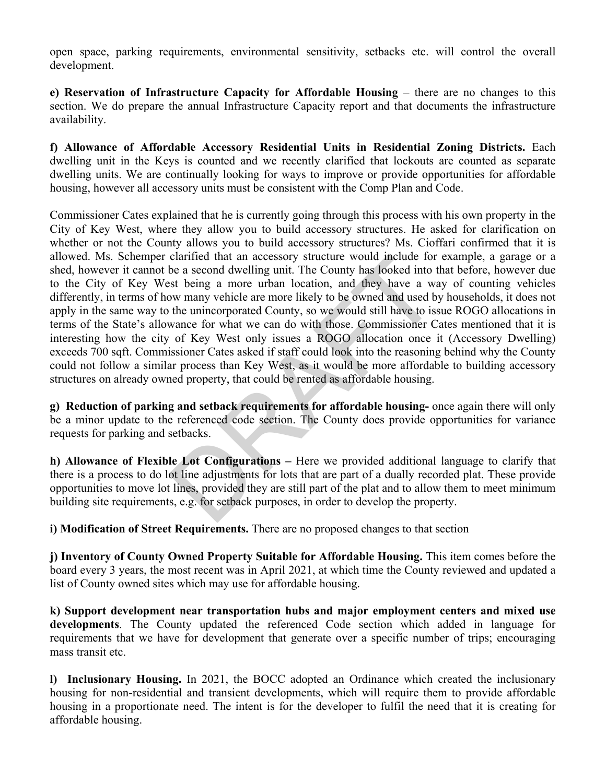open space, parking requirements, environmental sensitivity, setbacks etc. will control the overall development.

**e) Reservation of Infrastructure Capacity for Affordable Housing** – there are no changes to this section. We do prepare the annual Infrastructure Capacity report and that documents the infrastructure availability.

**f) Allowance of Affordable Accessory Residential Units in Residential Zoning Districts.** Each dwelling unit in the Keys is counted and we recently clarified that lockouts are counted as separate dwelling units. We are continually looking for ways to improve or provide opportunities for affordable housing, however all accessory units must be consistent with the Comp Plan and Code.

claritied that an accessory structure would include for<br>be a second dwelling unit. The County has looked into t<br>st being a more urban location, and they have a wa<br>ow many vehicle are more likely to be owned and used b<br>the Commissioner Cates explained that he is currently going through this process with his own property in the City of Key West, where they allow you to build accessory structures. He asked for clarification on whether or not the County allows you to build accessory structures? Ms. Cioffari confirmed that it is allowed. Ms. Schemper clarified that an accessory structure would include for example, a garage or a shed, however it cannot be a second dwelling unit. The County has looked into that before, however due to the City of Key West being a more urban location, and they have a way of counting vehicles differently, in terms of how many vehicle are more likely to be owned and used by households, it does not apply in the same way to the unincorporated County, so we would still have to issue ROGO allocations in terms of the State's allowance for what we can do with those. Commissioner Cates mentioned that it is interesting how the city of Key West only issues a ROGO allocation once it (Accessory Dwelling) exceeds 700 sqft. Commissioner Cates asked if staff could look into the reasoning behind why the County could not follow a similar process than Key West, as it would be more affordable to building accessory structures on already owned property, that could be rented as affordable housing.

**g) Reduction of parking and setback requirements for affordable housing-** once again there will only be a minor update to the referenced code section. The County does provide opportunities for variance requests for parking and setbacks.

**h) Allowance of Flexible Lot Configurations –** Here we provided additional language to clarify that there is a process to do lot line adjustments for lots that are part of a dually recorded plat. These provide opportunities to move lot lines, provided they are still part of the plat and to allow them to meet minimum building site requirements, e.g. for setback purposes, in order to develop the property.

**i) Modification of Street Requirements.** There are no proposed changes to that section

**j) Inventory of County Owned Property Suitable for Affordable Housing.** This item comes before the board every 3 years, the most recent was in April 2021, at which time the County reviewed and updated a list of County owned sites which may use for affordable housing.

**k) Support development near transportation hubs and major employment centers and mixed use developments**. The County updated the referenced Code section which added in language for requirements that we have for development that generate over a specific number of trips; encouraging mass transit etc.

**l) Inclusionary Housing.** In 2021, the BOCC adopted an Ordinance which created the inclusionary housing for non-residential and transient developments, which will require them to provide affordable housing in a proportionate need. The intent is for the developer to fulfil the need that it is creating for affordable housing.